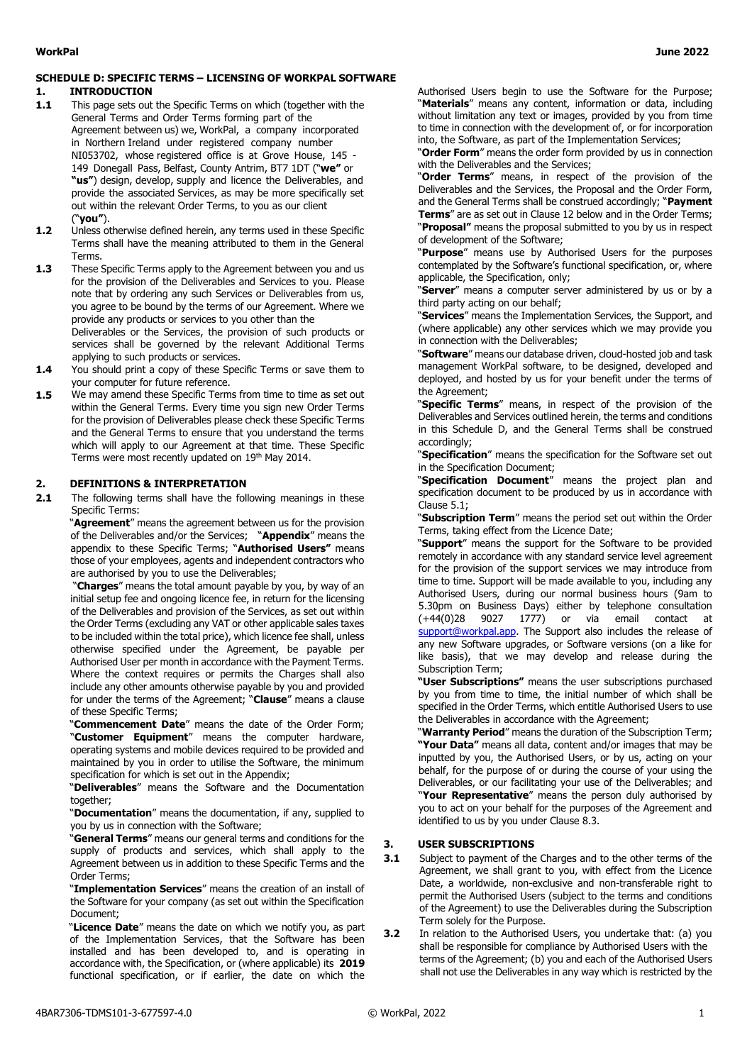### **SCHEDULE D: SPECIFIC TERMS – LICENSING OF WORKPAL SOFTWARE**

#### **1. INTRODUCTION**

- **1.1** This page sets out the Specific Terms on which (together with the General Terms and Order Terms forming part of the Agreement between us) we, WorkPal, a company incorporated in Northern Ireland under registered company number NI053702, whose registered office is at Grove House, 145 - 149 Donegall Pass, Belfast, County Antrim, BT7 1DT ("**we"** or **"us"**) design, develop, supply and licence the Deliverables, and provide the associated Services, as may be more specifically set out within the relevant Order Terms, to you as our client ("**you"**).
- **1.2** Unless otherwise defined herein, any terms used in these Specific Terms shall have the meaning attributed to them in the General Terms.
- **1.3** These Specific Terms apply to the Agreement between you and us for the provision of the Deliverables and Services to you. Please note that by ordering any such Services or Deliverables from us, you agree to be bound by the terms of our Agreement. Where we provide any products or services to you other than the

Deliverables or the Services, the provision of such products or services shall be governed by the relevant Additional Terms applying to such products or services.

- **1.4**  You should print a copy of these Specific Terms or save them to your computer for future reference.
- **1.5** We may amend these Specific Terms from time to time as set out within the General Terms. Every time you sign new Order Terms for the provision of Deliverables please check these Specific Terms and the General Terms to ensure that you understand the terms which will apply to our Agreement at that time. These Specific Terms were most recently updated on 19 th May 2014.

## **2. DEFINITIONS & INTERPRETATION**

**2.1** The following terms shall have the following meanings in these Specific Terms:

"**Agreement**" means the agreement between us for the provision of the Deliverables and/or the Services; "**Appendix**" means the appendix to these Specific Terms; "**Authorised Users"** means those of your employees, agents and independent contractors who are authorised by you to use the Deliverables;

"**Charges**" means the total amount payable by you, by way of an initial setup fee and ongoing licence fee, in return for the licensing of the Deliverables and provision of the Services, as set out within the Order Terms (excluding any VAT or other applicable sales taxes to be included within the total price), which licence fee shall, unless otherwise specified under the Agreement, be payable per Authorised User per month in accordance with the Payment Terms. Where the context requires or permits the Charges shall also include any other amounts otherwise payable by you and provided for under the terms of the Agreement; "**Clause**" means a clause of these Specific Terms;

"**Commencement Date**" means the date of the Order Form; "**Customer Equipment**" means the computer hardware, operating systems and mobile devices required to be provided and maintained by you in order to utilise the Software, the minimum specification for which is set out in the Appendix;

"**Deliverables**" means the Software and the Documentation together;

"**Documentation**" means the documentation, if any, supplied to you by us in connection with the Software;

"**General Terms**" means our general terms and conditions for the supply of products and services, which shall apply to the Agreement between us in addition to these Specific Terms and the Order Terms;

"**Implementation Services**" means the creation of an install of the Software for your company (as set out within the Specification Document;

"**Licence Date**" means the date on which we notify you, as part of the Implementation Services, that the Software has been installed and has been developed to, and is operating in accordance with, the Specification, or (where applicable) its **2019**  functional specification, or if earlier, the date on which the

Authorised Users begin to use the Software for the Purpose; "**Materials**" means any content, information or data, including without limitation any text or images, provided by you from time to time in connection with the development of, or for incorporation into, the Software, as part of the Implementation Services;

"**Order Form**" means the order form provided by us in connection with the Deliverables and the Services;

"**Order Terms**" means, in respect of the provision of the Deliverables and the Services, the Proposal and the Order Form, and the General Terms shall be construed accordingly; "**Payment Terms**" are as set out in Clause 12 below and in the Order Terms;

"**Proposal"** means the proposal submitted to you by us in respect of development of the Software;

"**Purpose**" means use by Authorised Users for the purposes contemplated by the Software's functional specification, or, where applicable, the Specification, only;

"**Server**" means a computer server administered by us or by a third party acting on our behalf;

"**Services**" means the Implementation Services, the Support, and (where applicable) any other services which we may provide you in connection with the Deliverables;

"**Software**" means our database driven, cloud-hosted job and task management WorkPal software, to be designed, developed and deployed, and hosted by us for your benefit under the terms of the Agreement;

"**Specific Terms**" means, in respect of the provision of the Deliverables and Services outlined herein, the terms and conditions in this Schedule D, and the General Terms shall be construed accordingly;

"**Specification**" means the specification for the Software set out in the Specification Document;

"**Specification Document**" means the project plan and specification document to be produced by us in accordance with Clause 5.1;

"**Subscription Term**" means the period set out within the Order Terms, taking effect from the Licence Date;

"**Support**" means the support for the Software to be provided remotely in accordance with any standard service level agreement for the provision of the support services we may introduce from time to time. Support will be made available to you, including any Authorised Users, during our normal business hours (9am to 5.30pm on Business Days) either by telephone consultation<br>(+44(0)28 9027 1777) or via email contact at 1777) or via email contact at support@workpal.app. The Support also includes the release of any new Software upgrades, or Software versions (on a like for like basis), that we may develop and release during the Subscription Term;

**"User Subscriptions"** means the user subscriptions purchased by you from time to time, the initial number of which shall be specified in the Order Terms, which entitle Authorised Users to use the Deliverables in accordance with the Agreement;

"**Warranty Period**" means the duration of the Subscription Term; **"Your Data"** means all data, content and/or images that may be inputted by you, the Authorised Users, or by us, acting on your behalf, for the purpose of or during the course of your using the Deliverables, or our facilitating your use of the Deliverables; and "**Your Representative**" means the person duly authorised by you to act on your behalf for the purposes of the Agreement and identified to us by you under Clause 8.3.

#### **3. USER SUBSCRIPTIONS**

- **3.1** Subject to payment of the Charges and to the other terms of the Agreement, we shall grant to you, with effect from the Licence Date, a worldwide, non-exclusive and non-transferable right to permit the Authorised Users (subject to the terms and conditions of the Agreement) to use the Deliverables during the Subscription Term solely for the Purpose.
- **3.2** In relation to the Authorised Users, you undertake that: (a) you shall be responsible for compliance by Authorised Users with the terms of the Agreement; (b) you and each of the Authorised Users shall not use the Deliverables in any way which is restricted by the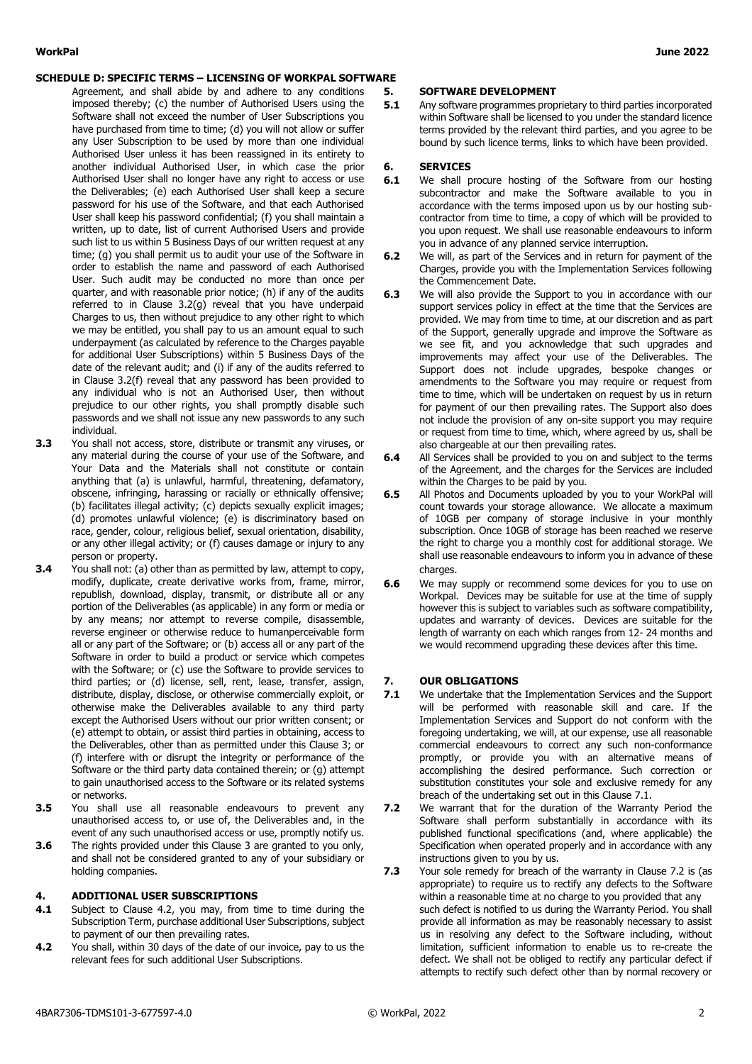#### **SCHEDULE D: SPECIFIC TERMS – LICENSING OF WORKPAL SOFTWARE**

- Agreement, and shall abide by and adhere to any conditions imposed thereby; (c) the number of Authorised Users using the Software shall not exceed the number of User Subscriptions you have purchased from time to time; (d) you will not allow or suffer any User Subscription to be used by more than one individual Authorised User unless it has been reassigned in its entirety to another individual Authorised User, in which case the prior Authorised User shall no longer have any right to access or use the Deliverables; (e) each Authorised User shall keep a secure password for his use of the Software, and that each Authorised User shall keep his password confidential; (f) you shall maintain a written, up to date, list of current Authorised Users and provide such list to us within 5 Business Days of our written request at any time; (g) you shall permit us to audit your use of the Software in order to establish the name and password of each Authorised User. Such audit may be conducted no more than once per quarter, and with reasonable prior notice; (h) if any of the audits referred to in Clause 3.2(g) reveal that you have underpaid Charges to us, then without prejudice to any other right to which we may be entitled, you shall pay to us an amount equal to such underpayment (as calculated by reference to the Charges payable for additional User Subscriptions) within 5 Business Days of the date of the relevant audit; and (i) if any of the audits referred to in Clause 3.2(f) reveal that any password has been provided to any individual who is not an Authorised User, then without prejudice to our other rights, you shall promptly disable such passwords and we shall not issue any new passwords to any such individual.
- **3.3** You shall not access, store, distribute or transmit any viruses, or any material during the course of your use of the Software, and Your Data and the Materials shall not constitute or contain anything that (a) is unlawful, harmful, threatening, defamatory, obscene, infringing, harassing or racially or ethnically offensive; (b) facilitates illegal activity; (c) depicts sexually explicit images; (d) promotes unlawful violence; (e) is discriminatory based on race, gender, colour, religious belief, sexual orientation, disability, or any other illegal activity; or (f) causes damage or injury to any person or property.
- **3.4** You shall not: (a) other than as permitted by law, attempt to copy, modify, duplicate, create derivative works from, frame, mirror, republish, download, display, transmit, or distribute all or any portion of the Deliverables (as applicable) in any form or media or by any means; nor attempt to reverse compile, disassemble, reverse engineer or otherwise reduce to humanperceivable form all or any part of the Software; or (b) access all or any part of the Software in order to build a product or service which competes with the Software; or (c) use the Software to provide services to third parties; or (d) license, sell, rent, lease, transfer, assign, distribute, display, disclose, or otherwise commercially exploit, or otherwise make the Deliverables available to any third party except the Authorised Users without our prior written consent; or (e) attempt to obtain, or assist third parties in obtaining, access to the Deliverables, other than as permitted under this Clause 3; or (f) interfere with or disrupt the integrity or performance of the Software or the third party data contained therein; or (g) attempt to gain unauthorised access to the Software or its related systems or networks.
- **3.5** You shall use all reasonable endeavours to prevent any unauthorised access to, or use of, the Deliverables and, in the event of any such unauthorised access or use, promptly notify us.
- **3.6** The rights provided under this Clause 3 are granted to you only, and shall not be considered granted to any of your subsidiary or holding companies.

#### **4. ADDITIONAL USER SUBSCRIPTIONS**

- **4.1** Subject to Clause 4.2, you may, from time to time during the Subscription Term, purchase additional User Subscriptions, subject to payment of our then prevailing rates.
- **4.2** You shall, within 30 days of the date of our invoice, pay to us the relevant fees for such additional User Subscriptions.

## **5. SOFTWARE DEVELOPMENT**

**5.1** Any software programmes proprietary to third parties incorporated within Software shall be licensed to you under the standard licence terms provided by the relevant third parties, and you agree to be bound by such licence terms, links to which have been provided.

#### **6. SERVICES**

- **6.1** We shall procure hosting of the Software from our hosting subcontractor and make the Software available to you in accordance with the terms imposed upon us by our hosting subcontractor from time to time, a copy of which will be provided to you upon request. We shall use reasonable endeavours to inform you in advance of any planned service interruption.
- **6.2** We will, as part of the Services and in return for payment of the Charges, provide you with the Implementation Services following the Commencement Date.
- **6.3** We will also provide the Support to you in accordance with our support services policy in effect at the time that the Services are provided. We may from time to time, at our discretion and as part of the Support, generally upgrade and improve the Software as we see fit, and you acknowledge that such upgrades and improvements may affect your use of the Deliverables. The Support does not include upgrades, bespoke changes or amendments to the Software you may require or request from time to time, which will be undertaken on request by us in return for payment of our then prevailing rates. The Support also does not include the provision of any on-site support you may require or request from time to time, which, where agreed by us, shall be also chargeable at our then prevailing rates.
- **6.4** All Services shall be provided to you on and subject to the terms of the Agreement, and the charges for the Services are included within the Charges to be paid by you.
- **6.5** All Photos and Documents uploaded by you to your WorkPal will count towards your storage allowance. We allocate a maximum of 10GB per company of storage inclusive in your monthly subscription. Once 10GB of storage has been reached we reserve the right to charge you a monthly cost for additional storage. We shall use reasonable endeavours to inform you in advance of these charges.
- **6.6** We may supply or recommend some devices for you to use on Workpal. Devices may be suitable for use at the time of supply however this is subject to variables such as software compatibility, updates and warranty of devices. Devices are suitable for the length of warranty on each which ranges from 12- 24 months and we would recommend upgrading these devices after this time.

### **7. OUR OBLIGATIONS**

- **7.1** We undertake that the Implementation Services and the Support will be performed with reasonable skill and care. If the Implementation Services and Support do not conform with the foregoing undertaking, we will, at our expense, use all reasonable commercial endeavours to correct any such non-conformance promptly, or provide you with an alternative means of accomplishing the desired performance. Such correction or substitution constitutes your sole and exclusive remedy for any breach of the undertaking set out in this Clause 7.1.
- **7.2** We warrant that for the duration of the Warranty Period the Software shall perform substantially in accordance with its published functional specifications (and, where applicable) the Specification when operated properly and in accordance with any instructions given to you by us.
- **7.3** Your sole remedy for breach of the warranty in Clause 7.2 is (as appropriate) to require us to rectify any defects to the Software within a reasonable time at no charge to you provided that any such defect is notified to us during the Warranty Period. You shall provide all information as may be reasonably necessary to assist us in resolving any defect to the Software including, without limitation, sufficient information to enable us to re-create the defect. We shall not be obliged to rectify any particular defect if attempts to rectify such defect other than by normal recovery or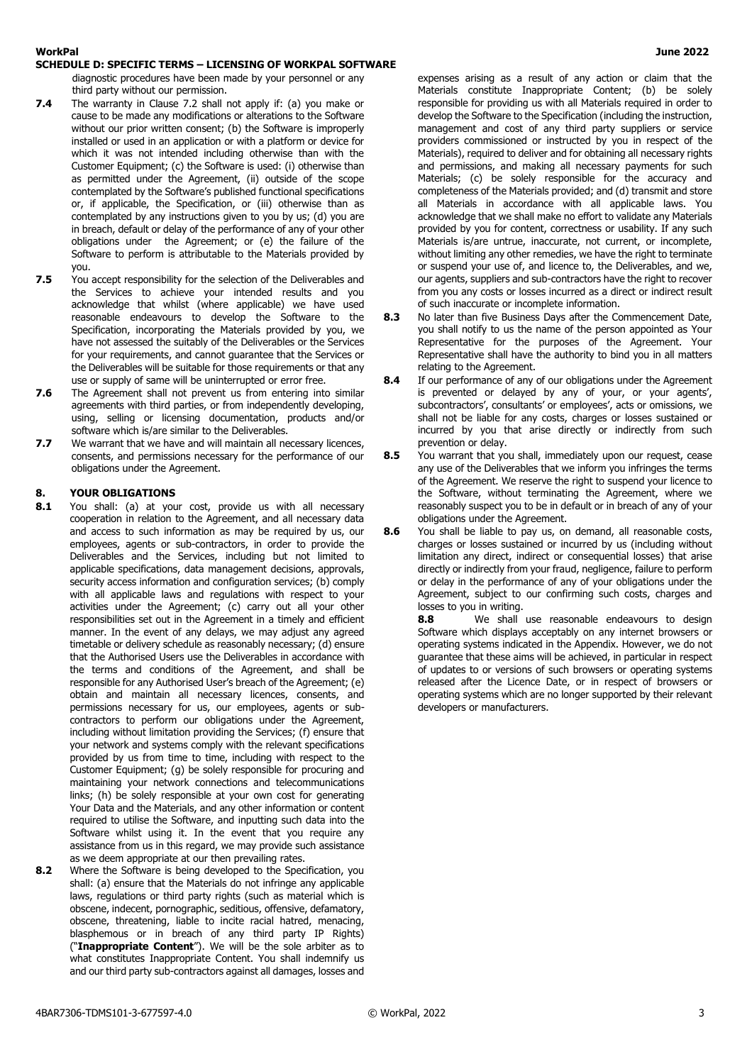#### **WorkPal June 2022 SCHEDULE D: SPECIFIC TERMS – LICENSING OF WORKPAL SOFTWARE**

diagnostic procedures have been made by your personnel or any third party without our permission.

- **7.4** The warranty in Clause 7.2 shall not apply if: (a) you make or cause to be made any modifications or alterations to the Software without our prior written consent; (b) the Software is improperly installed or used in an application or with a platform or device for which it was not intended including otherwise than with the Customer Equipment; (c) the Software is used: (i) otherwise than as permitted under the Agreement, (ii) outside of the scope contemplated by the Software's published functional specifications or, if applicable, the Specification, or (iii) otherwise than as contemplated by any instructions given to you by us; (d) you are in breach, default or delay of the performance of any of your other obligations under the Agreement; or (e) the failure of the Software to perform is attributable to the Materials provided by you.
- **7.5** You accept responsibility for the selection of the Deliverables and the Services to achieve your intended results and you acknowledge that whilst (where applicable) we have used reasonable endeavours to develop the Software to the Specification, incorporating the Materials provided by you, we have not assessed the suitably of the Deliverables or the Services for your requirements, and cannot guarantee that the Services or the Deliverables will be suitable for those requirements or that any use or supply of same will be uninterrupted or error free.
- **7.6** The Agreement shall not prevent us from entering into similar agreements with third parties, or from independently developing, using, selling or licensing documentation, products and/or software which is/are similar to the Deliverables.
- **7.7** We warrant that we have and will maintain all necessary licences, consents, and permissions necessary for the performance of our obligations under the Agreement.

# **8. YOUR OBLIGATIONS**<br>**8.1** You shall: (a) at you

- You shall: (a) at your cost, provide us with all necessary cooperation in relation to the Agreement, and all necessary data and access to such information as may be required by us, our employees, agents or sub-contractors, in order to provide the Deliverables and the Services, including but not limited to applicable specifications, data management decisions, approvals, security access information and configuration services; (b) comply with all applicable laws and regulations with respect to your activities under the Agreement; (c) carry out all your other responsibilities set out in the Agreement in a timely and efficient manner. In the event of any delays, we may adjust any agreed timetable or delivery schedule as reasonably necessary; (d) ensure that the Authorised Users use the Deliverables in accordance with the terms and conditions of the Agreement, and shall be responsible for any Authorised User's breach of the Agreement; (e) obtain and maintain all necessary licences, consents, and permissions necessary for us, our employees, agents or subcontractors to perform our obligations under the Agreement, including without limitation providing the Services; (f) ensure that your network and systems comply with the relevant specifications provided by us from time to time, including with respect to the Customer Equipment; (g) be solely responsible for procuring and maintaining your network connections and telecommunications links; (h) be solely responsible at your own cost for generating Your Data and the Materials, and any other information or content required to utilise the Software, and inputting such data into the Software whilst using it. In the event that you require any assistance from us in this regard, we may provide such assistance as we deem appropriate at our then prevailing rates.
- **8.2** Where the Software is being developed to the Specification, you shall: (a) ensure that the Materials do not infringe any applicable laws, regulations or third party rights (such as material which is obscene, indecent, pornographic, seditious, offensive, defamatory, obscene, threatening, liable to incite racial hatred, menacing, blasphemous or in breach of any third party IP Rights) ("**Inappropriate Content**"). We will be the sole arbiter as to what constitutes Inappropriate Content. You shall indemnify us and our third party sub-contractors against all damages, losses and

expenses arising as a result of any action or claim that the Materials constitute Inappropriate Content; (b) be solely responsible for providing us with all Materials required in order to develop the Software to the Specification (including the instruction, management and cost of any third party suppliers or service providers commissioned or instructed by you in respect of the Materials), required to deliver and for obtaining all necessary rights and permissions, and making all necessary payments for such Materials; (c) be solely responsible for the accuracy and completeness of the Materials provided; and (d) transmit and store all Materials in accordance with all applicable laws. You acknowledge that we shall make no effort to validate any Materials provided by you for content, correctness or usability. If any such Materials is/are untrue, inaccurate, not current, or incomplete, without limiting any other remedies, we have the right to terminate or suspend your use of, and licence to, the Deliverables, and we, our agents, suppliers and sub-contractors have the right to recover from you any costs or losses incurred as a direct or indirect result of such inaccurate or incomplete information.

- **8.3** No later than five Business Days after the Commencement Date, you shall notify to us the name of the person appointed as Your Representative for the purposes of the Agreement. Your Representative shall have the authority to bind you in all matters relating to the Agreement.
- **8.4** If our performance of any of our obligations under the Agreement is prevented or delayed by any of your, or your agents', subcontractors', consultants' or employees', acts or omissions, we shall not be liable for any costs, charges or losses sustained or incurred by you that arise directly or indirectly from such prevention or delay.
- **8.5** You warrant that you shall, immediately upon our request, cease any use of the Deliverables that we inform you infringes the terms of the Agreement. We reserve the right to suspend your licence to the Software, without terminating the Agreement, where we reasonably suspect you to be in default or in breach of any of your obligations under the Agreement.
- **8.6** You shall be liable to pay us, on demand, all reasonable costs, charges or losses sustained or incurred by us (including without limitation any direct, indirect or consequential losses) that arise directly or indirectly from your fraud, negligence, failure to perform or delay in the performance of any of your obligations under the Agreement, subject to our confirming such costs, charges and losses to you in writing.

**8.8** We shall use reasonable endeavours to design Software which displays acceptably on any internet browsers or operating systems indicated in the Appendix. However, we do not guarantee that these aims will be achieved, in particular in respect of updates to or versions of such browsers or operating systems released after the Licence Date, or in respect of browsers or operating systems which are no longer supported by their relevant developers or manufacturers.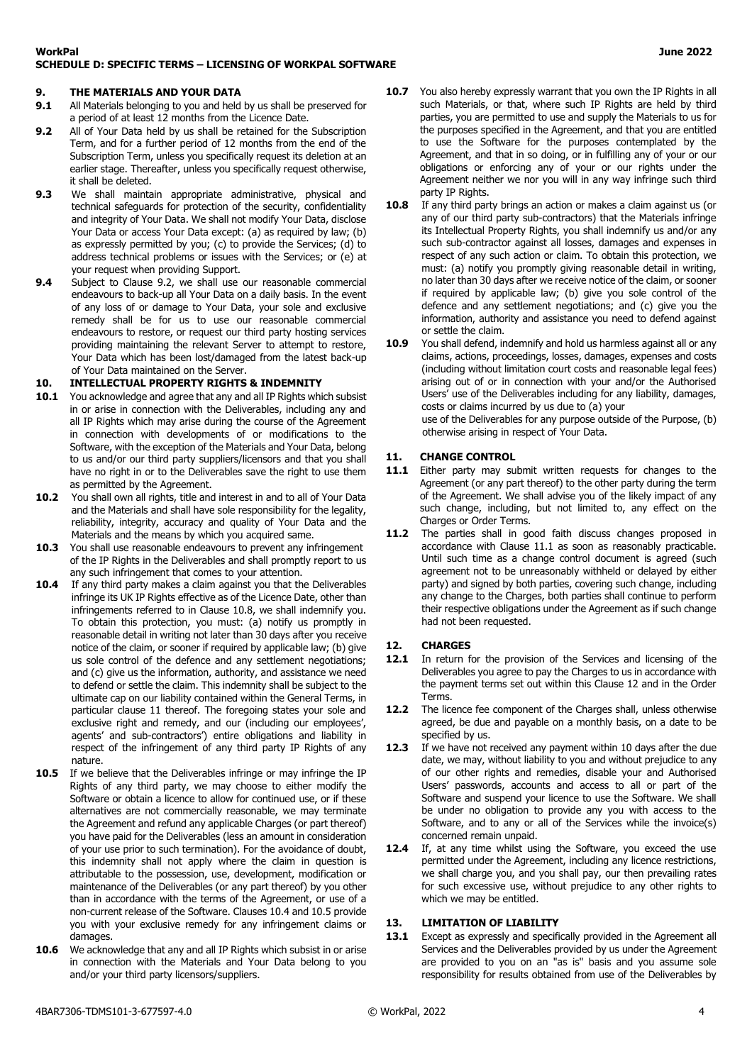#### **9. THE MATERIALS AND YOUR DATA**

- **9.1** All Materials belonging to you and held by us shall be preserved for a period of at least 12 months from the Licence Date.
- **9.2** All of Your Data held by us shall be retained for the Subscription Term, and for a further period of 12 months from the end of the Subscription Term, unless you specifically request its deletion at an earlier stage. Thereafter, unless you specifically request otherwise, it shall be deleted.
- **9.3** We shall maintain appropriate administrative, physical and technical safeguards for protection of the security, confidentiality and integrity of Your Data. We shall not modify Your Data, disclose Your Data or access Your Data except: (a) as required by law; (b) as expressly permitted by you; (c) to provide the Services; (d) to address technical problems or issues with the Services; or (e) at your request when providing Support.
- **9.4** Subject to Clause 9.2, we shall use our reasonable commercial endeavours to back-up all Your Data on a daily basis. In the event of any loss of or damage to Your Data, your sole and exclusive remedy shall be for us to use our reasonable commercial endeavours to restore, or request our third party hosting services providing maintaining the relevant Server to attempt to restore, Your Data which has been lost/damaged from the latest back-up of Your Data maintained on the Server.

#### **10. INTELLECTUAL PROPERTY RIGHTS & INDEMNITY**

- **10.1** You acknowledge and agree that any and all IP Rights which subsist in or arise in connection with the Deliverables, including any and all IP Rights which may arise during the course of the Agreement in connection with developments of or modifications to the Software, with the exception of the Materials and Your Data, belong to us and/or our third party suppliers/licensors and that you shall have no right in or to the Deliverables save the right to use them as permitted by the Agreement.
- **10.2** You shall own all rights, title and interest in and to all of Your Data and the Materials and shall have sole responsibility for the legality, reliability, integrity, accuracy and quality of Your Data and the Materials and the means by which you acquired same.
- 10.3 You shall use reasonable endeavours to prevent any infringement of the IP Rights in the Deliverables and shall promptly report to us any such infringement that comes to your attention.
- **10.4** If any third party makes a claim against you that the Deliverables infringe its UK IP Rights effective as of the Licence Date, other than infringements referred to in Clause 10.8, we shall indemnify you. To obtain this protection, you must: (a) notify us promptly in reasonable detail in writing not later than 30 days after you receive notice of the claim, or sooner if required by applicable law; (b) give us sole control of the defence and any settlement negotiations; and (c) give us the information, authority, and assistance we need to defend or settle the claim. This indemnity shall be subject to the ultimate cap on our liability contained within the General Terms, in particular clause 11 thereof. The foregoing states your sole and exclusive right and remedy, and our (including our employees', agents' and sub-contractors') entire obligations and liability in respect of the infringement of any third party IP Rights of any nature.
- **10.5** If we believe that the Deliverables infringe or may infringe the IP Rights of any third party, we may choose to either modify the Software or obtain a licence to allow for continued use, or if these alternatives are not commercially reasonable, we may terminate the Agreement and refund any applicable Charges (or part thereof) you have paid for the Deliverables (less an amount in consideration of your use prior to such termination). For the avoidance of doubt, this indemnity shall not apply where the claim in question is attributable to the possession, use, development, modification or maintenance of the Deliverables (or any part thereof) by you other than in accordance with the terms of the Agreement, or use of a non-current release of the Software. Clauses 10.4 and 10.5 provide you with your exclusive remedy for any infringement claims or damages.
- **10.6** We acknowledge that any and all IP Rights which subsist in or arise in connection with the Materials and Your Data belong to you and/or your third party licensors/suppliers.
- **10.7** You also hereby expressly warrant that you own the IP Rights in all such Materials, or that, where such IP Rights are held by third parties, you are permitted to use and supply the Materials to us for the purposes specified in the Agreement, and that you are entitled to use the Software for the purposes contemplated by the Agreement, and that in so doing, or in fulfilling any of your or our obligations or enforcing any of your or our rights under the Agreement neither we nor you will in any way infringe such third party IP Rights.
- **10.8** If any third party brings an action or makes a claim against us (or any of our third party sub-contractors) that the Materials infringe its Intellectual Property Rights, you shall indemnify us and/or any such sub-contractor against all losses, damages and expenses in respect of any such action or claim. To obtain this protection, we must: (a) notify you promptly giving reasonable detail in writing, no later than 30 days after we receive notice of the claim, or sooner if required by applicable law; (b) give you sole control of the defence and any settlement negotiations; and (c) give you the information, authority and assistance you need to defend against or settle the claim.
- **10.9** You shall defend, indemnify and hold us harmless against all or any claims, actions, proceedings, losses, damages, expenses and costs (including without limitation court costs and reasonable legal fees) arising out of or in connection with your and/or the Authorised Users' use of the Deliverables including for any liability, damages, costs or claims incurred by us due to (a) your use of the Deliverables for any purpose outside of the Purpose, (b) otherwise arising in respect of Your Data.

#### **11. CHANGE CONTROL**

- 11.1 Either party may submit written requests for changes to the Agreement (or any part thereof) to the other party during the term of the Agreement. We shall advise you of the likely impact of any such change, including, but not limited to, any effect on the Charges or Order Terms.
- 11.2 The parties shall in good faith discuss changes proposed in accordance with Clause 11.1 as soon as reasonably practicable. Until such time as a change control document is agreed (such agreement not to be unreasonably withheld or delayed by either party) and signed by both parties, covering such change, including any change to the Charges, both parties shall continue to perform their respective obligations under the Agreement as if such change had not been requested.

#### **12. CHARGES**

- 12.1 In return for the provision of the Services and licensing of the Deliverables you agree to pay the Charges to us in accordance with the payment terms set out within this Clause 12 and in the Order Terms.
- **12.2** The licence fee component of the Charges shall, unless otherwise agreed, be due and payable on a monthly basis, on a date to be specified by us.
- **12.3** If we have not received any payment within 10 days after the due date, we may, without liability to you and without prejudice to any of our other rights and remedies, disable your and Authorised Users' passwords, accounts and access to all or part of the Software and suspend your licence to use the Software. We shall be under no obligation to provide any you with access to the Software, and to any or all of the Services while the invoice(s) concerned remain unpaid.
- 12.4 If, at any time whilst using the Software, you exceed the use permitted under the Agreement, including any licence restrictions, we shall charge you, and you shall pay, our then prevailing rates for such excessive use, without prejudice to any other rights to which we may be entitled.

#### **13. LIMITATION OF LIABILITY**

13.1 Except as expressly and specifically provided in the Agreement all Services and the Deliverables provided by us under the Agreement are provided to you on an "as is" basis and you assume sole responsibility for results obtained from use of the Deliverables by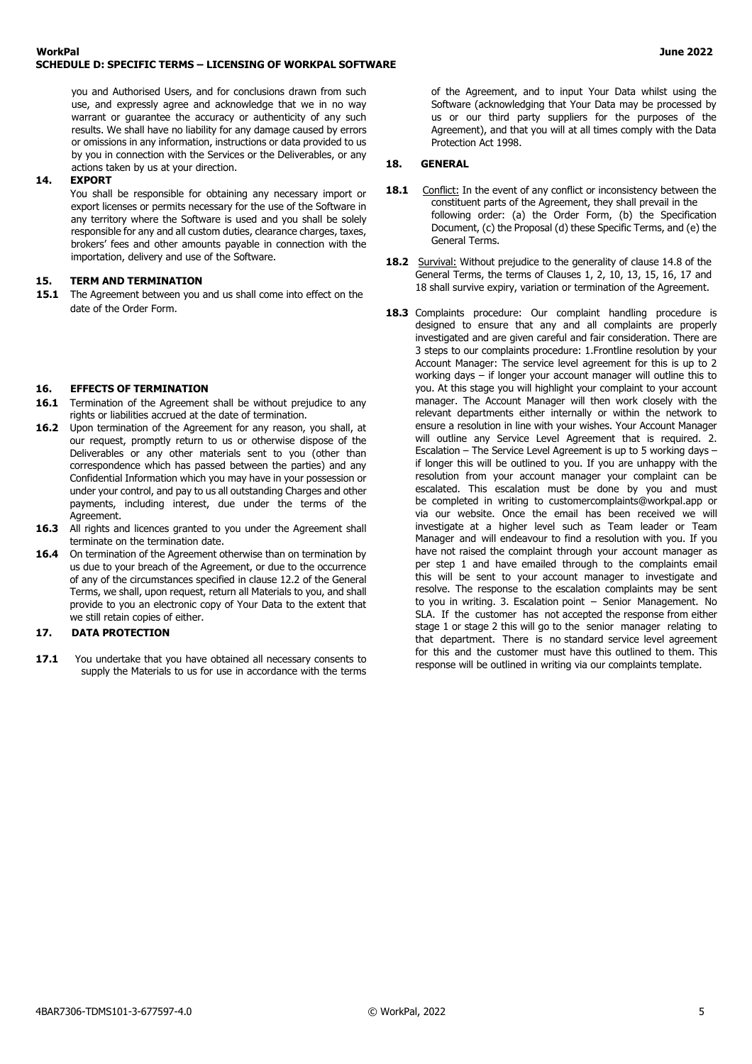you and Authorised Users, and for conclusions drawn from such use, and expressly agree and acknowledge that we in no way warrant or guarantee the accuracy or authenticity of any such results. We shall have no liability for any damage caused by errors or omissions in any information, instructions or data provided to us by you in connection with the Services or the Deliverables, or any actions taken by us at your direction.

#### **14. EXPORT**

You shall be responsible for obtaining any necessary import or export licenses or permits necessary for the use of the Software in any territory where the Software is used and you shall be solely responsible for any and all custom duties, clearance charges, taxes, brokers' fees and other amounts payable in connection with the importation, delivery and use of the Software.

#### **15. TERM AND TERMINATION**

**15.1** The Agreement between you and us shall come into effect on the date of the Order Form.

#### **16. EFFECTS OF TERMINATION**

- 16.1 Termination of the Agreement shall be without prejudice to any rights or liabilities accrued at the date of termination.
- **16.2** Upon termination of the Agreement for any reason, you shall, at our request, promptly return to us or otherwise dispose of the Deliverables or any other materials sent to you (other than correspondence which has passed between the parties) and any Confidential Information which you may have in your possession or under your control, and pay to us all outstanding Charges and other payments, including interest, due under the terms of the Agreement.
- **16.3** All rights and licences granted to you under the Agreement shall terminate on the termination date.
- **16.4** On termination of the Agreement otherwise than on termination by us due to your breach of the Agreement, or due to the occurrence of any of the circumstances specified in clause 12.2 of the General Terms, we shall, upon request, return all Materials to you, and shall provide to you an electronic copy of Your Data to the extent that we still retain copies of either.

#### **17. DATA PROTECTION**

**17.1** You undertake that you have obtained all necessary consents to supply the Materials to us for use in accordance with the terms

of the Agreement, and to input Your Data whilst using the Software (acknowledging that Your Data may be processed by us or our third party suppliers for the purposes of the Agreement), and that you will at all times comply with the Data Protection Act 1998.

### **18. GENERAL**

- **18.1** Conflict: In the event of any conflict or inconsistency between the constituent parts of the Agreement, they shall prevail in the following order: (a) the Order Form, (b) the Specification Document, (c) the Proposal (d) these Specific Terms, and (e) the General Terms.
- **18.2 Survival:** Without prejudice to the generality of clause 14.8 of the General Terms, the terms of Clauses 1, 2, 10, 13, 15, 16, 17 and 18 shall survive expiry, variation or termination of the Agreement.
- **18.3** Complaints procedure: Our complaint handling procedure is designed to ensure that any and all complaints are properly investigated and are given careful and fair consideration. There are 3 steps to our complaints procedure: 1.Frontline resolution by your Account Manager: The service level agreement for this is up to 2 working days – if longer your account manager will outline this to you. At this stage you will highlight your complaint to your account manager. The Account Manager will then work closely with the relevant departments either internally or within the network to ensure a resolution in line with your wishes. Your Account Manager will outline any Service Level Agreement that is required. 2. Escalation – The Service Level Agreement is up to 5 working days – if longer this will be outlined to you. If you are unhappy with the resolution from your account manager your complaint can be escalated. This escalation must be done by you and must be completed in writing to customercomplaints@workpal.app or via our website. Once the email has been received we will investigate at a higher level such as Team leader or Team Manager and will endeavour to find a resolution with you. If you have not raised the complaint through your account manager as per step 1 and have emailed through to the complaints email this will be sent to your account manager to investigate and resolve. The response to the escalation complaints may be sent to you in writing. 3. Escalation point – Senior Management. No SLA. If the customer has not accepted the response from either stage 1 or stage 2 this will go to the senior manager relating to that department. There is no standard service level agreement for this and the customer must have this outlined to them. This response will be outlined in writing via our complaints template.